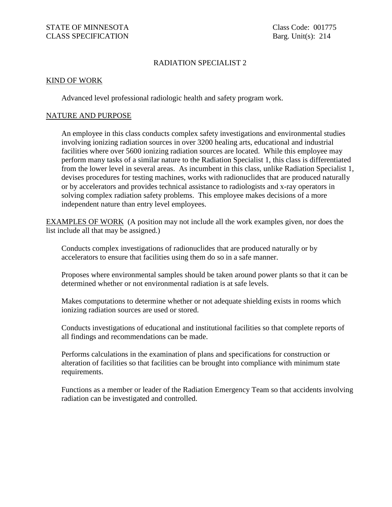## RADIATION SPECIALIST 2

## KIND OF WORK

Advanced level professional radiologic health and safety program work.

## NATURE AND PURPOSE

An employee in this class conducts complex safety investigations and environmental studies involving ionizing radiation sources in over 3200 healing arts, educational and industrial facilities where over 5600 ionizing radiation sources are located. While this employee may perform many tasks of a similar nature to the Radiation Specialist 1, this class is differentiated from the lower level in several areas. As incumbent in this class, unlike Radiation Specialist 1, devises procedures for testing machines, works with radionuclides that are produced naturally or by accelerators and provides technical assistance to radiologists and x-ray operators in solving complex radiation safety problems. This employee makes decisions of a more independent nature than entry level employees.

EXAMPLES OF WORK (A position may not include all the work examples given, nor does the list include all that may be assigned.)

Conducts complex investigations of radionuclides that are produced naturally or by accelerators to ensure that facilities using them do so in a safe manner.

Proposes where environmental samples should be taken around power plants so that it can be determined whether or not environmental radiation is at safe levels.

Makes computations to determine whether or not adequate shielding exists in rooms which ionizing radiation sources are used or stored.

Conducts investigations of educational and institutional facilities so that complete reports of all findings and recommendations can be made.

Performs calculations in the examination of plans and specifications for construction or alteration of facilities so that facilities can be brought into compliance with minimum state requirements.

Functions as a member or leader of the Radiation Emergency Team so that accidents involving radiation can be investigated and controlled.